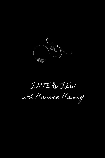

INTERVIEW

with Maukice Manning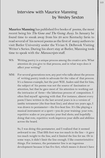## Interview with Maurice Manning by Wesley Sexton

**Maurice Manning** has published five books of poems, the most recent being his *The Gone and The Going Away*. In January he found time to sneak away from his 20 acre Kentucky farm to read several of his newest poems as the first of many authors to visit Butler University under the Vivian S. Delbrook Visiting Writer's Series. During his short stay at Butler, Manning took time to speak with the Manuscripts staff.

- W. Writing poetry is a unique process among the creative arts. What attention do you give to that process, and in what ways does it affect your writing?
- MM: For several generations now, any poet who talks about the process of writing poetry tends to advocate for the value of that process. It's a famous example, but the poet W.H. Auden said that for him, the subject of his poems was not the source of fascination or attention, but that he gave most of his attention to working out the intricacies of form—the laborious process of composition. I often find myself agreeing with that. For instance, almost every poem I have written in the last several years is in a version of iambic tetrameter (the four-beat line); and about ten years ago, I was drawn to pentameter—the five-beat line. It's like playing a musical instrument or a sport—you do your training: your rote, repetitive scales or you practice your foul shots; and hopefully doing that rote, repetitive work improves your skills and abilities across the board.

So, I was doing this pentameter, and I realized that it seemed awkward to me. That fifth foot was too much in the line – it gave too much weight to the line, and it limited the line for me. Or in some ways, it didn't limit the line enough. I like counterintuitive things. For instance, the pentameter line is an ingenious development because it has five feet, which means it doesn't have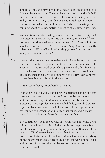a middle. You can't have a half line and an equal second half line. It has to be asymmetric. The four-beat line can be divided in half, but the counterintuitive part of me likes to have that symmetry and yet resist utilizing it. If that is a way to talk about process, that is part of what I'm thinking about. When I'm writing I'm thinking about the asymmetric properties of a symmetrical line.

- WS: You mentioned at the reading you gave at Butler University that you often put arbitrary restraints on yourself, in terms of form. For example, *Bucolics* does not use the word "and," and all of the short, six-line poems in *The Gone and the Going Away* have exactly thirty words. What effect does limiting yourself, in terms of form, have on your writing?
- MM: I have had a conventional experience with form. In my first book there are a number of poems that follow the traditional rules of a sonnet. There are another bunch of poems in the first book that borrow forms from other areas: there is a geometric proof, which takes a mathematical form and imports it to poetry. I have enjoyed that—there is a legal brief in there as well.

In the second book, I used blank verse a lot.

In the third book, I was using a heavily enjambed iambic line that resolves over the course of the book into iambic tetrameter, and that was an important formal device for me, because in *Bucolics*, the protagonist is in a one-sided dialogue with God. He begins in frustration and concludes in something approaching redemption or reconciliation in a spiritual sense; and it makes sense (to me at least) to have the metrical resolve.

The fourth book is all in couplets of tetrameter, and to me there is logic there. I tend to think of the couplet as the primary formal unit for narrative, going back in literary tradition. Because all the poems in *The Common Man* are narrative, it made sense to me to utilize this old-fashioned formal tool intended for narrative. Many of the poems for that book are spun out of the world of tall tales and oral tradition, and the couplet seems connected to that tradition as well.

manuscripts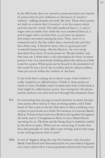In the fifth book, there are narrative poems but there are a bunch of poems that are just outbursts or utterances of sound or whimsy—talking animals and stuff like that. Those short poems are built on a stanza that I invented—a six line stanza where each line has five words. The odd numbered lines (1, 3, and 5) begin with an iambic foot; while the even numbered lines (2, 4, and 6) begin with a trochaic foot, so you have an upstairsdownstairs movement among the lines. Then, since it's a numerical end to the line rather than a metrical end, each line has a blunt stop. A friend of mine, who is a great poet and wonderful human being—Brooks Haxton—he very nicely described those short 30-word poems as "Honky-tonkas" and that suits me. I think that's a nice description for those. In those poems, I was very consciously thinking about the stanza as a little room for a poem. What poem can be housed in the parameters of this room? It was a lot of fun to realize that it's almost endless, what you can do within the confines of the form.

In the book that's coming out in about a year, I don't believe I really worked in an official stanza. I think of those poems as stacks of lines. Probably what I worked most with in that book is what might be called knotty syntax. Just seeing how the phrase and the sentence can twist and turn through the tetrameter lines.

- WS: It's interesting that you pay so much attention to meter, because your poems often read as if they are being spoken, and I think much of that is due to the fact that there is often a unifying voice or place to your books as a whole. For instance, in *Lawrence Booth's Book of Visions* we have Lawrence Booth as the speaker throughout the book, and in *A Companion to Owls,* we have Daniel Boone narrating for us. *The Gone and the Going Away* is similarly unified by the focus on place. When you are conceiving of books, how does that principle of unity affect your writing, and at what stage in the writing process does it enter?
- MM: It sort of happens along the way. For instance, with *Lawrence Booth*, I had flirted with that material for ten years before I figured out a way to deal with it. I was at graduate school at the University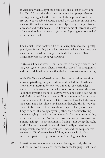manuscripts

of Alabama when a light bulb came on, and I just thought one day, "Oh, I'll have this third person omniscient perspective to be the stage manager for the theatrics of these poems." And that proved to be valuable, because I could then distance myself from some of the material and see it more objectively, seeing it from a broader and wider scope. Then I could come at it from all sides if I wanted to. But that was 10 years into figuring out how to deal with that material.

The Daniel Boone book is a bit of an exception because I pretty quickly—after writing just a few poems—realized that there was something to relish in trying to embody the voice of Daniel Boone, 200 years after he was around.

In *Bucolics*, I had written 10 or 15 poems in that style before I felt the groove, so to speak. Then I heard the voice of the protagonist, and I better defined the world that that protagonist was inhabiting.

With *The Common Man*—in 2005, I had a month-long writing fellowship to this great place in Scotland, called the Hawthornden International Retreat for Writers. I took it very seriously; I wanted to really work and get a lot done. So I went over there and I assigned myself a monastic duty to write one poem a day. At the end of the month I had 30 poems all in pentameter. I came back home, and a couple of months later I was looking back through the poems and I just shook my head and thought, this is not what I want to be doing. I don't like these: they're clearly exercises. They're not really doing anything other than demonstrating someone trying to write in pentameter. So I've not done anything with those poems. But I've learned how necessary it was to spend a month failing—to spend a month flailing—not doing the right work. That led me to do the work that I really wanted to be doing, which became that tetrameter line, and the couplets that came up in *The Common Man*. Making mistakes is clearly an important part of the process – sometimes big mistakes.

WS: Sometimes contemporary poetry can be aggressively abstract, and the real world is so far removed from the language that it can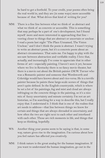be hard to get a foothold. To your credit, your poems often bring the real world in, and they are (in some ways) more accessible because of that. What drives that kind of writing for you?

- MM: There is a fine line between what we think of as abstract and what we think of as concrete or accessible. This is something that may perhaps be a part of one's development, but I found myself more and more interested in approaching that line – veering closer to things that are abstract or uncertain or unclear. I read a poem last night "The Place Unnamed, The Vision Unclear," and I don't think the poem is abstract. I wasn't trying to write an abstract poem, but it's a concrete poem about an abstract circumstance. That suits me. I'm happy to play with the see-saw between abstraction and verifiable reality. I love that, actually, and increasingly I've come to appreciate that in other forms of art—especially painting. I haven't seen it yet, because where we live in Kentucky there is no fancy movie theater, but there is a movie out about the British painter J.M.W. Turner who was a Romantic painter and someone that Wordsworth and Coleridge would have known about and vice-versa. He is a terrific painter because he paints these large-scale scenes of things that aren't quite defined. In the English countryside, which is where he set a lot of his paintings, fog and mist and cloud are always infringing on the concrete things in the painting, so it's a nice mix of fuzzy uncertainty and minute certainty. I'm not an art historian, so I'm searching for a way to describe this, but I really enjoy that. I understand it. I think that is one of the realms that art needs to address—that line between things we know for certain and things that are always shrouded in uncertainty, and how often the two are right next to each other and interfused with each other. Those are rich moments in life, and things that keep us thinking, hopefully.
- WS: Another thing your poems seem to be saying is that, in some way, nature gives rise to the imagination. I'm curious about how you feel nature has affected you creatively.
- MM: I think nature is the great analog for the human imagination. If you want to understand the human imagination, go out in the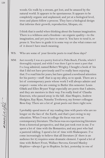woods. Go walk by a stream, get lost, and be amazed by the natural world. It appears to be spontaneous. It appears to be completely organic and unplanned, and yet at a biological level, trees and plants follow a process. They have a biological design that informs their growth, reproduction, lifespan, etc.

I think that is useful when thinking about the human imagination. There is a wildness and a freedom—an organic quality—to the imagination, and yet you have to steer it. You have to tend it, or prune it. You have to guide it in some way or else what comes out of it doesn't have much meaning.

WS: Who are some of your favorite poets to read these days?

MM: Just recently I was at a poetry festival in Palm Beach, Florida, which I thoroughly enjoyed, and while I was there I got to meet a poet that I've long admired, named Robert Wrigley. I bought a book of his that I did not have previously and I've really been enjoying that. I've read him for years, but have gained a newfound attention for his poetry—stuff that is up my alley, so to speak. There are a lot of contemporary poets whose work I will always admire and respect—some who are coming to Butler this semester. Louis Glück and Ellen Bryant Voigt especially are poets that I admire, and they are mentors in their way. I'm really fond of Claudia Emerson, who passed away in the fall. Alan Shapiro, Andrew Hudgins, Kay Ryan, Natasha Trethewey, my former colleague Ross Gay. There are a lot of great poets out there right now.

I probably spend more of my reading time with poets who are no longer on the face of the Earth, and that's just owing to my education. When I was in college the focus was not on contemporary literature. The focus was on experiencing literature from a historical perspective, and that just took root in me. I've spent a lot of time with the Romantics, and any poet who had a pastoral inkling. I spend a lot of time with Shakespeare. I've come increasingly to believe that all literature (if there is an audience for it) requires some dramatic element. I spend a lot of time with Robert Frost, Wallace Stevens, Gerard Manley Hopkins—always I go to Hopkins. In fact, yesterday in one of

manuscripts